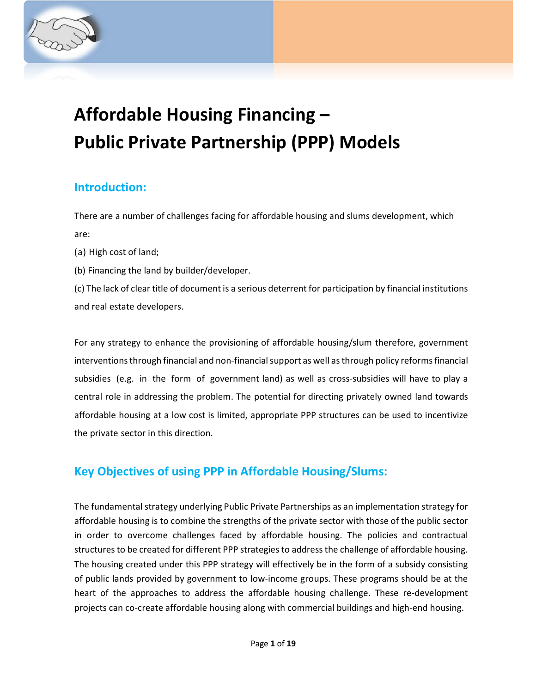

# **Introduction:**

There are a number of challenges facing for affordable housing and slums development, which are:

- (a) High cost of land;
- (b) Financing the land by builder/developer.

(c) The lack of clear title of document is a serious deterrent for participation by financial institutions and real estate developers.

For any strategy to enhance the provisioning of affordable housing/slum therefore, government interventions through financial and non-financial support as well as through policy reforms financial subsidies (e.g. in the form of government land) as well as cross-subsidies will have to play a central role in addressing the problem. The potential for directing privately owned land towards affordable housing at a low cost is limited, appropriate PPP structures can be used to incentivize the private sector in this direction.

# **Key Objectives of using PPP in Affordable Housing/Slums:**

The fundamental strategy underlying Public Private Partnerships as an implementation strategy for affordable housing is to combine the strengths of the private sector with those of the public sector in order to overcome challenges faced by affordable housing. The policies and contractual structures to be created for different PPP strategies to address the challenge of affordable housing. The housing created under this PPP strategy will effectively be in the form of a subsidy consisting of public lands provided by government to low-income groups. These programs should be at the heart of the approaches to address the affordable housing challenge. These re-development projects can co-create affordable housing along with commercial buildings and high-end housing.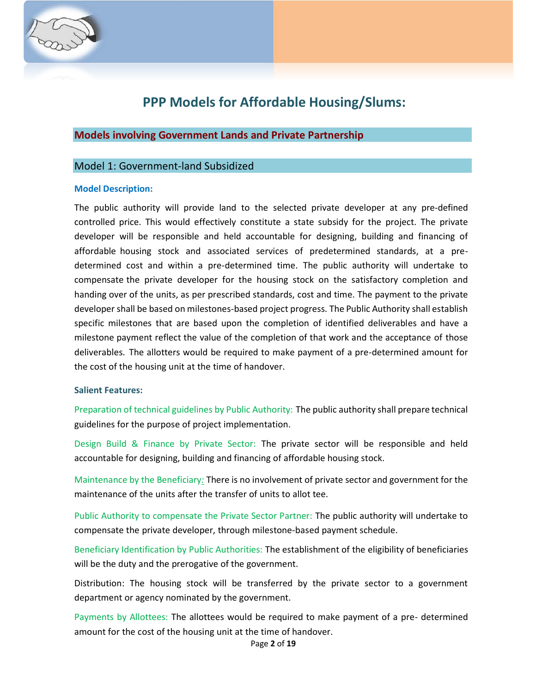

# **PPP Models for Affordable Housing/Slums:**

## **Models involving Government Lands and Private Partnership**

## Model 1: Government-land Subsidized

#### **Model Description:**

The public authority will provide land to the selected private developer at any pre-defined controlled price. This would effectively constitute a state subsidy for the project. The private developer will be responsible and held accountable for designing, building and financing of affordable housing stock and associated services of predetermined standards, at a predetermined cost and within a pre-determined time. The public authority will undertake to compensate the private developer for the housing stock on the satisfactory completion and handing over of the units, as per prescribed standards, cost and time. The payment to the private developer shall be based on milestones-based project progress. The Public Authority shall establish specific milestones that are based upon the completion of identified deliverables and have a milestone payment reflect the value of the completion of that work and the acceptance of those deliverables. The allotters would be required to make payment of a pre-determined amount for the cost of the housing unit at the time of handover.

#### **Salient Features:**

Preparation of technical guidelines by Public Authority: The public authority shall prepare technical guidelines for the purpose of project implementation.

Design Build & Finance by Private Sector: The private sector will be responsible and held accountable for designing, building and financing of affordable housing stock.

Maintenance by the Beneficiary*:* There is no involvement of private sector and government for the maintenance of the units after the transfer of units to allot tee.

Public Authority to compensate the Private Sector Partner: The public authority will undertake to compensate the private developer, through milestone-based payment schedule.

Beneficiary Identification by Public Authorities: The establishment of the eligibility of beneficiaries will be the duty and the prerogative of the government.

Distribution: The housing stock will be transferred by the private sector to a government department or agency nominated by the government.

Payments by Allottees: The allottees would be required to make payment of a pre- determined amount for the cost of the housing unit at the time of handover.

Page **2** of **19**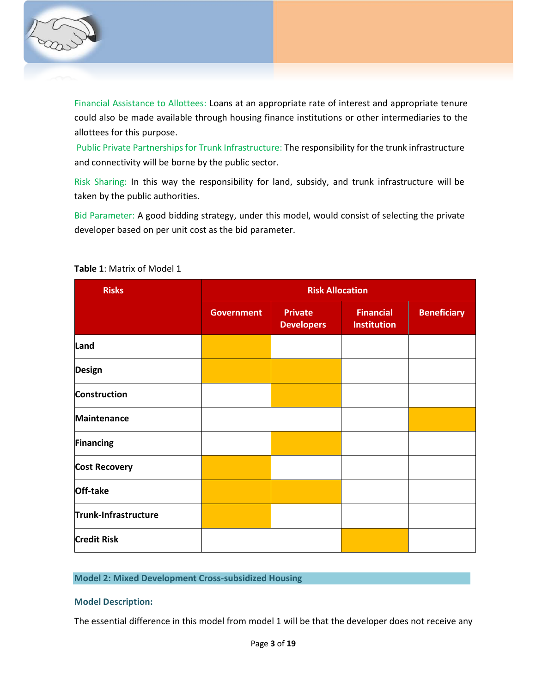

Financial Assistance to Allottees: Loans at an appropriate rate of interest and appropriate tenure could also be made available through housing finance institutions or other intermediaries to the allottees for this purpose.

Public Private Partnerships for Trunk Infrastructure: The responsibility for the trunk infrastructure and connectivity will be borne by the public sector.

Risk Sharing: In this way the responsibility for land, subsidy, and trunk infrastructure will be taken by the public authorities.

Bid Parameter: A good bidding strategy, under this model, would consist of selecting the private developer based on per unit cost as the bid parameter.

| <b>Risks</b>         | <b>Risk Allocation</b> |                                     |                                        |                    |  |  |
|----------------------|------------------------|-------------------------------------|----------------------------------------|--------------------|--|--|
|                      | <b>Government</b>      | <b>Private</b><br><b>Developers</b> | <b>Financial</b><br><b>Institution</b> | <b>Beneficiary</b> |  |  |
| Land                 |                        |                                     |                                        |                    |  |  |
| <b>Design</b>        |                        |                                     |                                        |                    |  |  |
| <b>Construction</b>  |                        |                                     |                                        |                    |  |  |
| <b>Maintenance</b>   |                        |                                     |                                        |                    |  |  |
| <b>Financing</b>     |                        |                                     |                                        |                    |  |  |
| <b>Cost Recovery</b> |                        |                                     |                                        |                    |  |  |
| Off-take             |                        |                                     |                                        |                    |  |  |
| Trunk-Infrastructure |                        |                                     |                                        |                    |  |  |
| <b>Credit Risk</b>   |                        |                                     |                                        |                    |  |  |

**Table 1**: Matrix of Model 1

## **Model 2: Mixed Development Cross-subsidized Housing**

### **Model Description:**

The essential difference in this model from model 1 will be that the developer does not receive any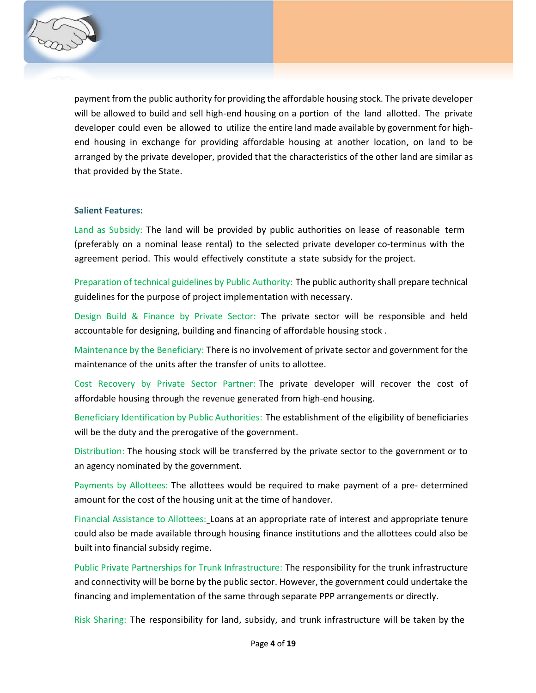

payment from the public authority for providing the affordable housing stock. The private developer will be allowed to build and sell high-end housing on a portion of the land allotted. The private developer could even be allowed to utilize the entire land made available by government for highend housing in exchange for providing affordable housing at another location, on land to be arranged by the private developer, provided that the characteristics of the other land are similar as that provided by the State.

#### **Salient Features:**

Land as Subsidy: The land will be provided by public authorities on lease of reasonable term (preferably on a nominal lease rental) to the selected private developer co-terminus with the agreement period. This would effectively constitute a state subsidy for the project.

Preparation of technical guidelines by Public Authority: The public authority shall prepare technical guidelines for the purpose of project implementation with necessary.

Design Build & Finance by Private Sector: The private sector will be responsible and held accountable for designing, building and financing of affordable housing stock .

Maintenance by the Beneficiary: There is no involvement of private sector and government for the maintenance of the units after the transfer of units to allottee.

Cost Recovery by Private Sector Partner: The private developer will recover the cost of affordable housing through the revenue generated from high-end housing.

Beneficiary Identification by Public Authorities: The establishment of the eligibility of beneficiaries will be the duty and the prerogative of the government.

Distribution: The housing stock will be transferred by the private sector to the government or to an agency nominated by the government.

Payments by Allottees: The allottees would be required to make payment of a pre- determined amount for the cost of the housing unit at the time of handover.

Financial Assistance to Allottees: Loans at an appropriate rate of interest and appropriate tenure could also be made available through housing finance institutions and the allottees could also be built into financial subsidy regime.

Public Private Partnerships for Trunk Infrastructure: The responsibility for the trunk infrastructure and connectivity will be borne by the public sector. However, the government could undertake the financing and implementation of the same through separate PPP arrangements or directly.

Risk Sharing: The responsibility for land, subsidy, and trunk infrastructure will be taken by the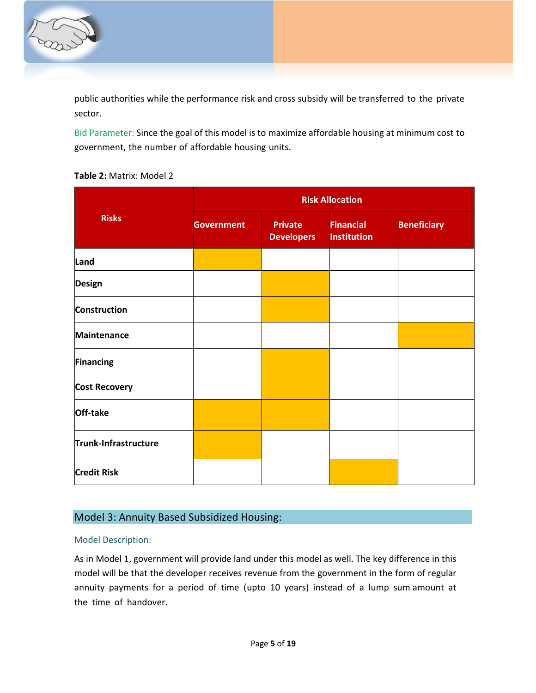

public authorities while the performance risk and cross subsidy will be transferred to the private sector.

Bid Parameter: Since the goal of this model is to maximize affordable housing at minimum cost to government, the number of affordable housing units.

|  | <b>Table 2: Matrix: Model 2</b> |  |
|--|---------------------------------|--|
|--|---------------------------------|--|

| <b>Risks</b>         | <b>Risk Allocation</b> |                                     |                                        |                    |  |  |
|----------------------|------------------------|-------------------------------------|----------------------------------------|--------------------|--|--|
|                      | <b>Government</b>      | <b>Private</b><br><b>Developers</b> | <b>Financial</b><br><b>Institution</b> | <b>Beneficiary</b> |  |  |
| Land                 |                        |                                     |                                        |                    |  |  |
| <b>Design</b>        |                        |                                     |                                        |                    |  |  |
| <b>Construction</b>  |                        |                                     |                                        |                    |  |  |
| <b>Maintenance</b>   |                        |                                     |                                        |                    |  |  |
| <b>Financing</b>     |                        |                                     |                                        |                    |  |  |
| <b>Cost Recovery</b> |                        |                                     |                                        |                    |  |  |
| Off-take             |                        |                                     |                                        |                    |  |  |
| Trunk-Infrastructure |                        |                                     |                                        |                    |  |  |
| <b>Credit Risk</b>   |                        |                                     |                                        |                    |  |  |

## Model 3: Annuity Based Subsidized Housing:

### Model Description:

As in Model 1, government will provide land under this model as well. The key difference in this model will be that the developer receives revenue from the government in the form of regular annuity payments for a period of time (upto 10 years) instead of a lump sum amount at the time of handover.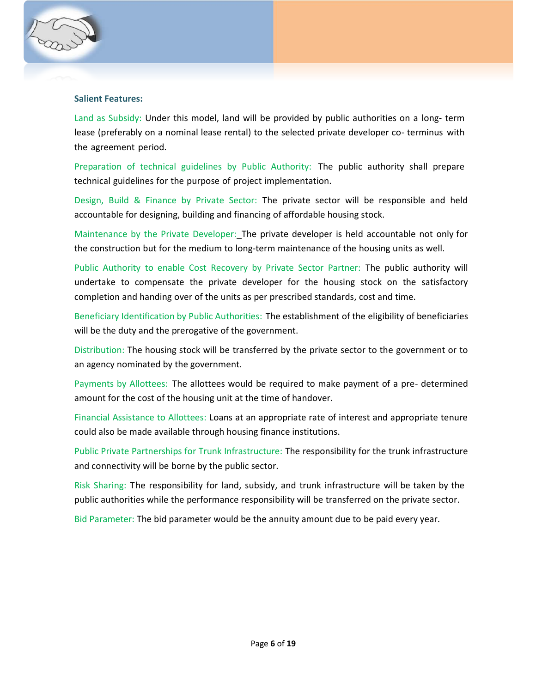

## **Salient Features:**

Land as Subsidy: Under this model, land will be provided by public authorities on a long- term lease (preferably on a nominal lease rental) to the selected private developer co- terminus with the agreement period.

Preparation of technical guidelines by Public Authority: The public authority shall prepare technical guidelines for the purpose of project implementation.

Design, Build & Finance by Private Sector: The private sector will be responsible and held accountable for designing, building and financing of affordable housing stock.

Maintenance by the Private Developer: The private developer is held accountable not only for the construction but for the medium to long-term maintenance of the housing units as well.

Public Authority to enable Cost Recovery by Private Sector Partner: The public authority will undertake to compensate the private developer for the housing stock on the satisfactory completion and handing over of the units as per prescribed standards, cost and time.

Beneficiary Identification by Public Authorities: The establishment of the eligibility of beneficiaries will be the duty and the prerogative of the government.

Distribution: The housing stock will be transferred by the private sector to the government or to an agency nominated by the government.

Payments by Allottees: The allottees would be required to make payment of a pre- determined amount for the cost of the housing unit at the time of handover.

Financial Assistance to Allottees: Loans at an appropriate rate of interest and appropriate tenure could also be made available through housing finance institutions.

Public Private Partnerships for Trunk Infrastructure: The responsibility for the trunk infrastructure and connectivity will be borne by the public sector.

Risk Sharing: The responsibility for land, subsidy, and trunk infrastructure will be taken by the public authorities while the performance responsibility will be transferred on the private sector.

Bid Parameter: The bid parameter would be the annuity amount due to be paid every year.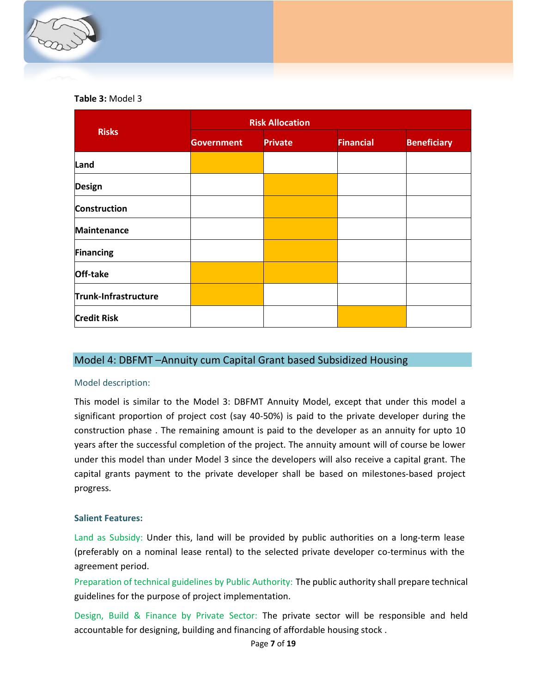

### **Table 3:** Model 3

|                      | <b>Risk Allocation</b> |                |                  |                    |  |  |
|----------------------|------------------------|----------------|------------------|--------------------|--|--|
| <b>Risks</b>         | <b>Government</b>      | <b>Private</b> | <b>Financial</b> | <b>Beneficiary</b> |  |  |
| Land                 |                        |                |                  |                    |  |  |
| <b>Design</b>        |                        |                |                  |                    |  |  |
| <b>Construction</b>  |                        |                |                  |                    |  |  |
| <b>Maintenance</b>   |                        |                |                  |                    |  |  |
| <b>Financing</b>     |                        |                |                  |                    |  |  |
| Off-take             |                        |                |                  |                    |  |  |
| Trunk-Infrastructure |                        |                |                  |                    |  |  |
| <b>Credit Risk</b>   |                        |                |                  |                    |  |  |

## Model 4: DBFMT –Annuity cum Capital Grant based Subsidized Housing

### Model description:

This model is similar to the Model 3: DBFMT Annuity Model, except that under this model a significant proportion of project cost (say 40-50%) is paid to the private developer during the construction phase . The remaining amount is paid to the developer as an annuity for upto 10 years after the successful completion of the project. The annuity amount will of course be lower under this model than under Model 3 since the developers will also receive a capital grant. The capital grants payment to the private developer shall be based on milestones-based project progress.

### **Salient Features:**

Land as Subsidy: Under this, land will be provided by public authorities on a long-term lease (preferably on a nominal lease rental) to the selected private developer co-terminus with the agreement period.

Preparation of technical guidelines by Public Authority: The public authority shall prepare technical guidelines for the purpose of project implementation.

Design, Build & Finance by Private Sector: The private sector will be responsible and held accountable for designing, building and financing of affordable housing stock .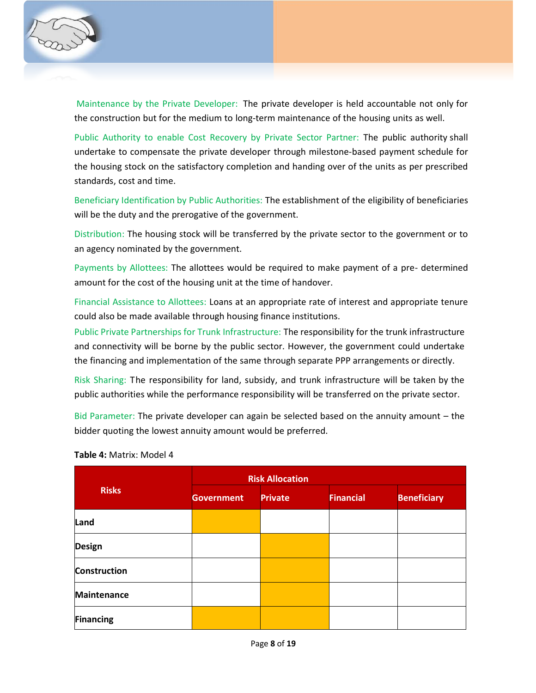

Maintenance by the Private Developer: The private developer is held accountable not only for the construction but for the medium to long-term maintenance of the housing units as well.

Public Authority to enable Cost Recovery by Private Sector Partner: The public authority shall undertake to compensate the private developer through milestone-based payment schedule for the housing stock on the satisfactory completion and handing over of the units as per prescribed standards, cost and time.

Beneficiary Identification by Public Authorities: The establishment of the eligibility of beneficiaries will be the duty and the prerogative of the government.

Distribution: The housing stock will be transferred by the private sector to the government or to an agency nominated by the government.

Payments by Allottees: The allottees would be required to make payment of a pre- determined amount for the cost of the housing unit at the time of handover.

Financial Assistance to Allottees: Loans at an appropriate rate of interest and appropriate tenure could also be made available through housing finance institutions.

Public Private Partnerships for Trunk Infrastructure: The responsibility for the trunk infrastructure and connectivity will be borne by the public sector. However, the government could undertake the financing and implementation of the same through separate PPP arrangements or directly.

Risk Sharing: The responsibility for land, subsidy, and trunk infrastructure will be taken by the public authorities while the performance responsibility will be transferred on the private sector.

Bid Parameter: The private developer can again be selected based on the annuity amount – the bidder quoting the lowest annuity amount would be preferred.

| <b>Risks</b>        | <b>Risk Allocation</b>              |  |                  |                    |  |  |
|---------------------|-------------------------------------|--|------------------|--------------------|--|--|
|                     | <b>Private</b><br><b>Government</b> |  | <b>Financial</b> | <b>Beneficiary</b> |  |  |
| Land                |                                     |  |                  |                    |  |  |
| <b>Design</b>       |                                     |  |                  |                    |  |  |
| <b>Construction</b> |                                     |  |                  |                    |  |  |
| <b>Maintenance</b>  |                                     |  |                  |                    |  |  |
| <b>Financing</b>    |                                     |  |                  |                    |  |  |

**Table 4:** Matrix: Model 4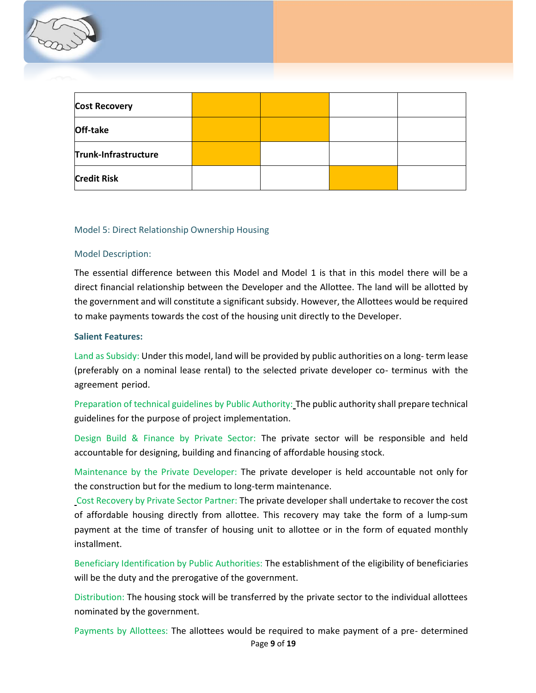

| <b>Cost Recovery</b> |  |  |
|----------------------|--|--|
| Off-take             |  |  |
| Trunk-Infrastructure |  |  |
| <b>Credit Risk</b>   |  |  |

#### Model 5: Direct Relationship Ownership Housing

#### Model Description:

The essential difference between this Model and Model 1 is that in this model there will be a direct financial relationship between the Developer and the Allottee. The land will be allotted by the government and will constitute a significant subsidy. However, the Allottees would be required to make payments towards the cost of the housing unit directly to the Developer.

#### **Salient Features:**

Land as Subsidy: Under this model, land will be provided by public authorities on a long- term lease (preferably on a nominal lease rental) to the selected private developer co- terminus with the agreement period.

Preparation of technical guidelines by Public Authority: The public authority shall prepare technical guidelines for the purpose of project implementation.

Design Build & Finance by Private Sector: The private sector will be responsible and held accountable for designing, building and financing of affordable housing stock.

Maintenance by the Private Developer: The private developer is held accountable not only for the construction but for the medium to long-term maintenance.

Cost Recovery by Private Sector Partner: The private developer shall undertake to recover the cost of affordable housing directly from allottee. This recovery may take the form of a lump-sum payment at the time of transfer of housing unit to allottee or in the form of equated monthly installment.

Beneficiary Identification by Public Authorities: The establishment of the eligibility of beneficiaries will be the duty and the prerogative of the government.

Distribution: The housing stock will be transferred by the private sector to the individual allottees nominated by the government.

Page **9** of **19** Payments by Allottees: The allottees would be required to make payment of a pre- determined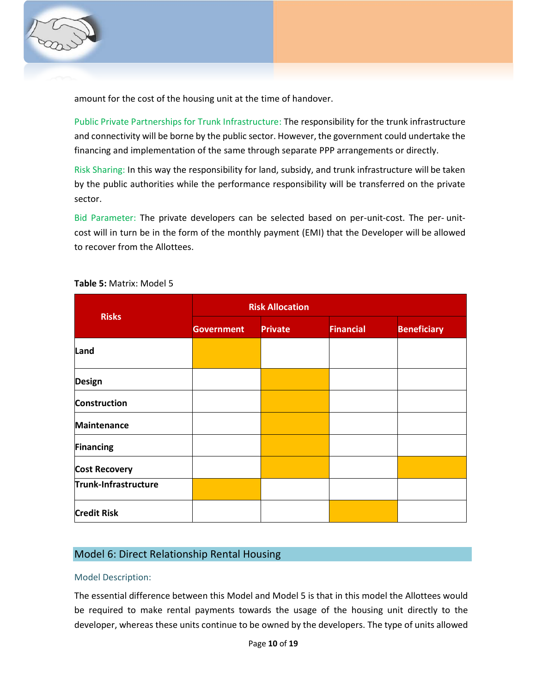

amount for the cost of the housing unit at the time of handover.

Public Private Partnerships for Trunk Infrastructure: The responsibility for the trunk infrastructure and connectivity will be borne by the public sector. However, the government could undertake the financing and implementation of the same through separate PPP arrangements or directly.

Risk Sharing: In this way the responsibility for land, subsidy, and trunk infrastructure will be taken by the public authorities while the performance responsibility will be transferred on the private sector.

Bid Parameter: The private developers can be selected based on per-unit-cost. The per- unitcost will in turn be in the form of the monthly payment (EMI) that the Developer will be allowed to recover from the Allottees.

|                      | <b>Risk Allocation</b> |                |                  |                    |  |  |
|----------------------|------------------------|----------------|------------------|--------------------|--|--|
| <b>Risks</b>         | <b>Government</b>      | <b>Private</b> | <b>Financial</b> | <b>Beneficiary</b> |  |  |
| Land                 |                        |                |                  |                    |  |  |
| <b>Design</b>        |                        |                |                  |                    |  |  |
| <b>Construction</b>  |                        |                |                  |                    |  |  |
| <b>Maintenance</b>   |                        |                |                  |                    |  |  |
| Financing            |                        |                |                  |                    |  |  |
| <b>Cost Recovery</b> |                        |                |                  |                    |  |  |
| Trunk-Infrastructure |                        |                |                  |                    |  |  |
| <b>Credit Risk</b>   |                        |                |                  |                    |  |  |

## **Table 5:** Matrix: Model 5

## Model 6: Direct Relationship Rental Housing

### Model Description:

The essential difference between this Model and Model 5 is that in this model the Allottees would be required to make rental payments towards the usage of the housing unit directly to the developer, whereas these units continue to be owned by the developers. The type of units allowed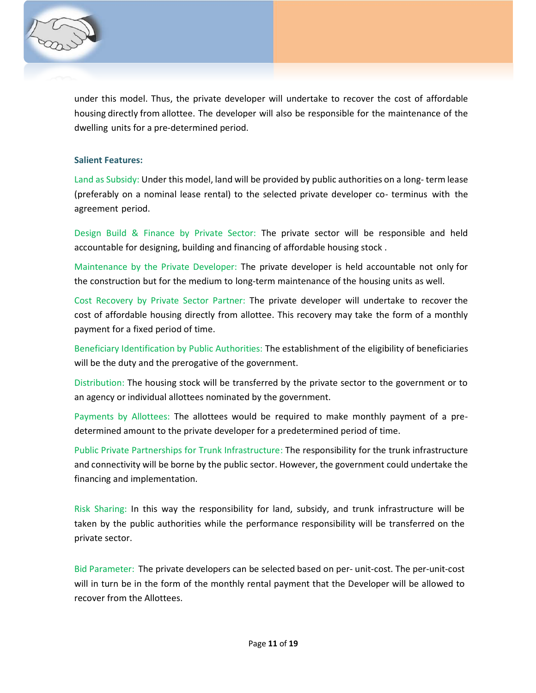

under this model. Thus, the private developer will undertake to recover the cost of affordable housing directly from allottee. The developer will also be responsible for the maintenance of the dwelling units for a pre-determined period.

#### **Salient Features:**

Land as Subsidy: Under this model, land will be provided by public authorities on a long- term lease (preferably on a nominal lease rental) to the selected private developer co- terminus with the agreement period.

Design Build & Finance by Private Sector: The private sector will be responsible and held accountable for designing, building and financing of affordable housing stock .

Maintenance by the Private Developer: The private developer is held accountable not only for the construction but for the medium to long-term maintenance of the housing units as well.

Cost Recovery by Private Sector Partner: The private developer will undertake to recover the cost of affordable housing directly from allottee. This recovery may take the form of a monthly payment for a fixed period of time.

Beneficiary Identification by Public Authorities: The establishment of the eligibility of beneficiaries will be the duty and the prerogative of the government.

Distribution: The housing stock will be transferred by the private sector to the government or to an agency or individual allottees nominated by the government.

Payments by Allottees: The allottees would be required to make monthly payment of a predetermined amount to the private developer for a predetermined period of time.

Public Private Partnerships for Trunk Infrastructure: The responsibility for the trunk infrastructure and connectivity will be borne by the public sector. However, the government could undertake the financing and implementation.

Risk Sharing: In this way the responsibility for land, subsidy, and trunk infrastructure will be taken by the public authorities while the performance responsibility will be transferred on the private sector.

Bid Parameter: The private developers can be selected based on per- unit-cost. The per-unit-cost will in turn be in the form of the monthly rental payment that the Developer will be allowed to recover from the Allottees.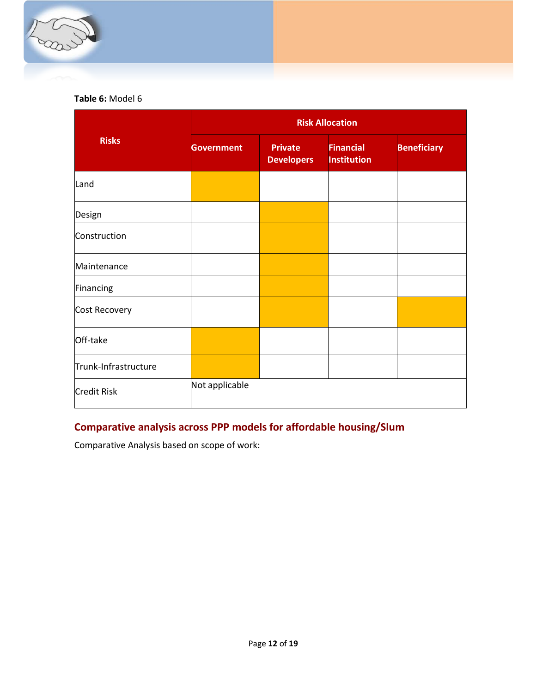

# **Table 6:** Model 6

|                      | <b>Risk Allocation</b> |                                     |                                        |                    |  |  |  |
|----------------------|------------------------|-------------------------------------|----------------------------------------|--------------------|--|--|--|
| <b>Risks</b>         | <b>Government</b>      | <b>Private</b><br><b>Developers</b> | <b>Financial</b><br><b>Institution</b> | <b>Beneficiary</b> |  |  |  |
| Land                 |                        |                                     |                                        |                    |  |  |  |
| Design               |                        |                                     |                                        |                    |  |  |  |
| Construction         |                        |                                     |                                        |                    |  |  |  |
| Maintenance          |                        |                                     |                                        |                    |  |  |  |
| Financing            |                        |                                     |                                        |                    |  |  |  |
| Cost Recovery        |                        |                                     |                                        |                    |  |  |  |
| Off-take             |                        |                                     |                                        |                    |  |  |  |
| Trunk-Infrastructure |                        |                                     |                                        |                    |  |  |  |
| <b>Credit Risk</b>   | Not applicable         |                                     |                                        |                    |  |  |  |

# **Comparative analysis across PPP models for affordable housing/Slum**

Comparative Analysis based on scope of work: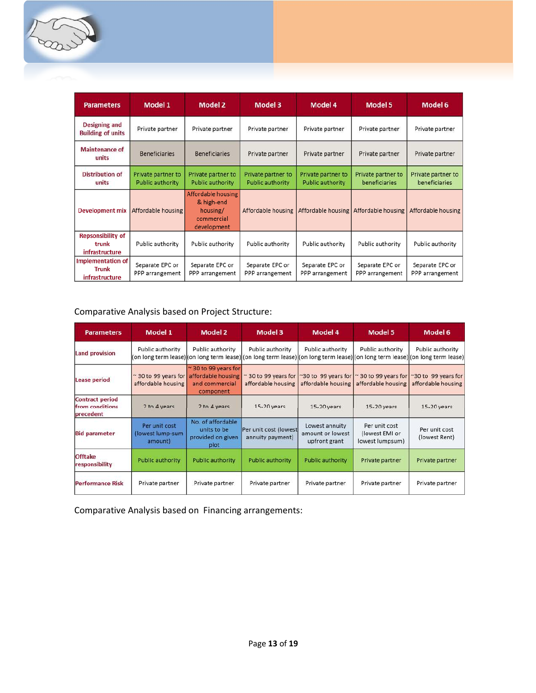

| <b>Parameters</b>                                   | Model 1                                       | <b>Model 2</b>                                                            | Model 3                                       | Model 4                                | Model 5                             | Model 6                             |
|-----------------------------------------------------|-----------------------------------------------|---------------------------------------------------------------------------|-----------------------------------------------|----------------------------------------|-------------------------------------|-------------------------------------|
| <b>Designing and</b><br><b>Building of units</b>    | Private partner                               | Private partner                                                           | Private partner                               | Private partner                        | Private partner                     | Private partner                     |
| <b>Maintenance of</b><br>units                      | <b>Beneficiaries</b>                          | <b>Beneficiaries</b>                                                      | Private partner                               | Private partner                        | Private partner                     | Private partner                     |
| <b>Distribution of</b><br>units                     | Private partner to<br><b>Public authority</b> | Private partner to<br><b>Public authority</b>                             | Private partner to<br><b>Public authority</b> | Private partner to<br>Public authority | Private partner to<br>beneficiaries | Private partner to<br>beneficiaries |
| Development mix                                     | Affordable housing                            | Affordable housing<br>& high-end<br>housing/<br>commercial<br>development | Affordable housing                            | Affordable housing                     | Affordable housing                  | Affordable housing                  |
| <b>Repsonsibility of</b><br>trunk<br>infrastructure | Public authority                              | Public authority                                                          | Public authority                              | Public authority                       | Public authority                    | Public authority                    |
| Implementation of<br><b>Trunk</b><br>infrastructure | Separate EPC or<br>PPP arrangement            | Separate EPC or<br>PPP arrangement                                        | Separate EPC or<br>PPP arrangement            | Separate EPC or<br>PPP arrangement     | Separate EPC or<br>PPP arrangement  | Separate EPC or<br>PPP arrangement  |

# Comparative Analysis based on Project Structure:

| <b>Parameters</b>                                      | Model 1                                            | <b>Model 2</b>                                                           | Model 3                                   | Model 4                                             | <b>Model 5</b>                                     | Model 6                                                                                                 |
|--------------------------------------------------------|----------------------------------------------------|--------------------------------------------------------------------------|-------------------------------------------|-----------------------------------------------------|----------------------------------------------------|---------------------------------------------------------------------------------------------------------|
| <b>Land provision</b>                                  | Public authority                                   | Public authority<br>(on long term lease) (on long term lease)            | Public authority                          | Public authority                                    | Public authority                                   | Public authority<br>(on long term lease) (on long term lease) (on long term lease) (on long term lease) |
| <b>Lease period</b>                                    | $\approx$ 30 to 99 years for<br>affordable housing | ~30 to 99 years for<br>affordable housing<br>and commercial<br>component | 30 to 99 years for<br>affordable housing  | ~30 to 99 years for<br>affordable housing           | $\approx$ 30 to 99 years for<br>affordable housing | ~30 to 99 years for<br>affordable housing                                                               |
| <b>Contract period</b><br>from conditions<br>precedent | 2 to 4 years                                       | 2 to 4 years                                                             | 15-20 years                               | $15-20$ years                                       | $15-20$ years                                      | $15-20$ years                                                                                           |
| <b>Bid parameter</b>                                   | Per unit cost<br>(lowest lump-sum<br>amount)       | No. of affordable<br>units to be<br>provided on given<br>plot            | Per unit cost (lowest<br>annuity payment) | Lowest annuity<br>amount or lowest<br>upfront grant | Per unit cost<br>(lowest EMI or<br>lowest lumpsum) | Per unit cost<br>(lowest Rent)                                                                          |
| <b>Offtake</b><br>responsibility                       | Public authority                                   | <b>Public authority</b>                                                  | <b>Public authority</b>                   | Public authority                                    | Private partner                                    | Private partner                                                                                         |
| <b>Performance Risk</b>                                | Private partner                                    | Private partner                                                          | Private partner                           | Private partner                                     | Private partner                                    | Private partner                                                                                         |

Comparative Analysis based on Financing arrangements: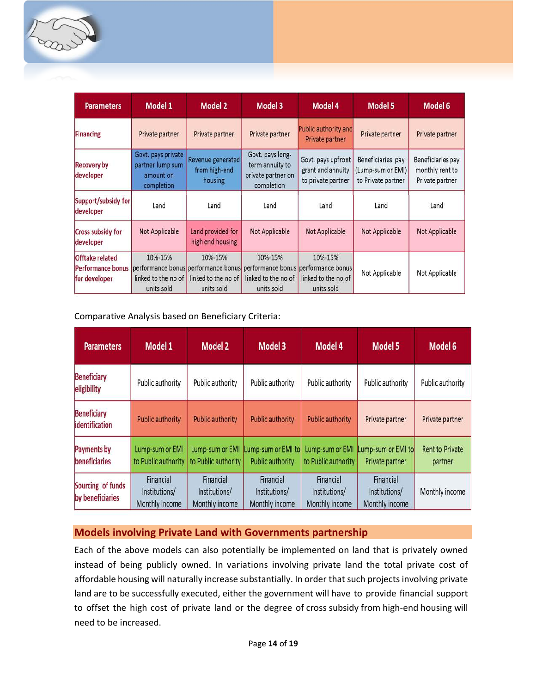

| <b>Parameters</b>                                            | Model 1                                                           | Model 2                                                                             | Model 3                                                                 | Model 4                                                                             | Model 5                                                      | Model 6                                                 |
|--------------------------------------------------------------|-------------------------------------------------------------------|-------------------------------------------------------------------------------------|-------------------------------------------------------------------------|-------------------------------------------------------------------------------------|--------------------------------------------------------------|---------------------------------------------------------|
| <b>Financing</b>                                             | Private partner                                                   | Private partner                                                                     | Private partner                                                         | Public authority and<br>Private partner                                             | Private partner                                              | Private partner                                         |
| <b>Recovery by</b><br>developer                              | Govt. pays private<br>partner lump sum<br>amount on<br>completion | Revenue generated<br>from high-end<br>housing                                       | Govt. pays long-<br>term annuity to<br>private partner on<br>completion | Govt. pays upfront<br>grant and annuity<br>to private partner                       | Beneficiaries pay<br>(Lump-sum or EMI)<br>to Private partner | Beneficiaries pay<br>monthly rent to<br>Private partner |
| Support/subsidy for<br>developer                             | Land                                                              | Land                                                                                | Land                                                                    | Land                                                                                | Land                                                         | Land                                                    |
| <b>Cross subsidy for</b><br>developer                        | Not Applicable                                                    | Land provided for<br>high end housing                                               | Not Applicable                                                          | Not Applicable                                                                      | Not Applicable                                               | Not Applicable                                          |
| <b>Offtake related</b><br>Performance bonus<br>for developer | 10%-15%<br>linked to the no of<br>units sold                      | 10%-15%<br>performance bonus performance bonus<br>linked to the no of<br>units sold | 10%-15%<br>linked to the no of<br>units sold                            | 10%-15%<br>performance bonus performance bonus<br>linked to the no of<br>units sold | Not Applicable                                               | Not Applicable                                          |

## Comparative Analysis based on Beneficiary Criteria:

| <b>Parameters</b>                     | Model 1                                      | <b>Model 2</b>                               | Model 3                                      | Model 4                                      | <b>Model 5</b>                               | Model 6                           |
|---------------------------------------|----------------------------------------------|----------------------------------------------|----------------------------------------------|----------------------------------------------|----------------------------------------------|-----------------------------------|
| <b>Beneficiary</b><br>eligibility     | Public authority                             | Public authority                             | Public authority                             | Public authority                             | Public authority                             | Public authority                  |
| <b>Beneficiary</b><br>identification  | <b>Public authority</b>                      | Public authority                             | <b>Public authority</b>                      | <b>Public authority</b>                      | Private partner                              | Private partner                   |
| Payments by<br>beneficiaries          | Lump-sum or EMI<br>to Public authority       | Lump-sum or EMI<br>to Public authority       | Lump-sum or EMI to<br>Public authority       | Lump-sum or EMI<br>to Public authority       | Lump-sum or EMI to<br>Private partner        | <b>Rent to Private</b><br>partner |
| Sourcing of funds<br>by beneficiaries | Financial<br>Institutions/<br>Monthly income | Financial<br>Institutions/<br>Monthly income | Financial<br>Institutions/<br>Monthly income | Financial<br>Institutions/<br>Monthly income | Financial<br>Institutions/<br>Monthly income | Monthly income                    |

## **Models involving Private Land with Governments partnership**

Each of the above models can also potentially be implemented on land that is privately owned instead of being publicly owned. In variations involving private land the total private cost of affordable housing will naturally increase substantially. In order that such projects involving private land are to be successfully executed, either the government will have to provide financial support to offset the high cost of private land or the degree of cross subsidy from high-end housing will need to be increased.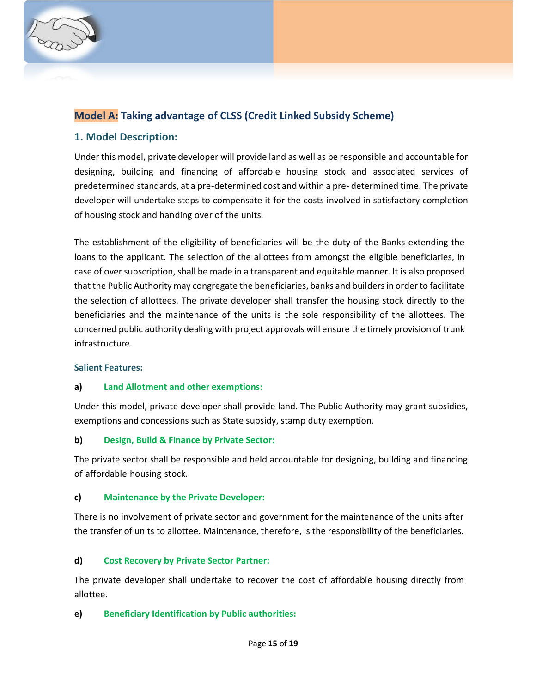

# **Model A: Taking advantage of CLSS (Credit Linked Subsidy Scheme)**

# **1. Model Description:**

Under this model, private developer will provide land as well as be responsible and accountable for designing, building and financing of affordable housing stock and associated services of predetermined standards, at a pre-determined cost and within a pre- determined time. The private developer will undertake steps to compensate it for the costs involved in satisfactory completion of housing stock and handing over of the units.

The establishment of the eligibility of beneficiaries will be the duty of the Banks extending the loans to the applicant. The selection of the allottees from amongst the eligible beneficiaries, in case of over subscription, shall be made in a transparent and equitable manner. It is also proposed that the Public Authority may congregate the beneficiaries, banks and builders in order to facilitate the selection of allottees. The private developer shall transfer the housing stock directly to the beneficiaries and the maintenance of the units is the sole responsibility of the allottees. The concerned public authority dealing with project approvals will ensure the timely provision of trunk infrastructure.

## **Salient Features:**

## **a) Land Allotment and other exemptions:**

Under this model, private developer shall provide land. The Public Authority may grant subsidies, exemptions and concessions such as State subsidy, stamp duty exemption.

## **b) Design, Build & Finance by Private Sector:**

The private sector shall be responsible and held accountable for designing, building and financing of affordable housing stock.

## **c) Maintenance by the Private Developer:**

There is no involvement of private sector and government for the maintenance of the units after the transfer of units to allottee. Maintenance, therefore, is the responsibility of the beneficiaries.

## **d) Cost Recovery by Private Sector Partner:**

The private developer shall undertake to recover the cost of affordable housing directly from allottee.

## **e) Beneficiary Identification by Public authorities:**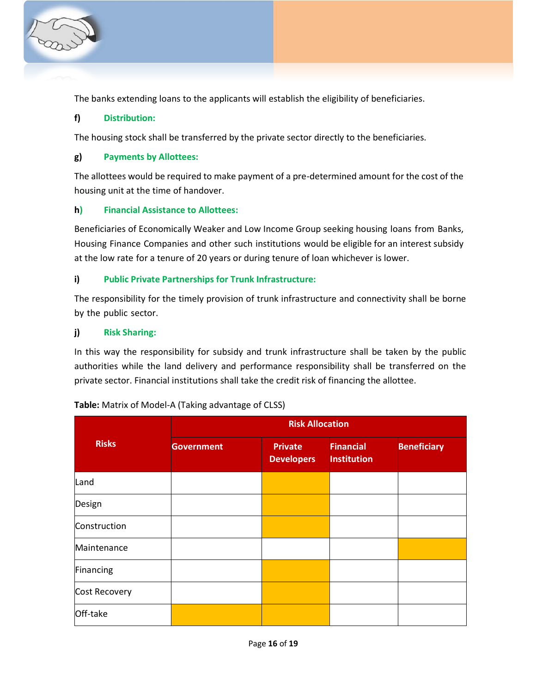

The banks extending loans to the applicants will establish the eligibility of beneficiaries.

## **f) Distribution:**

The housing stock shall be transferred by the private sector directly to the beneficiaries.

## **g) Payments by Allottees:**

The allottees would be required to make payment of a pre-determined amount for the cost of the housing unit at the time of handover.

## **h) Financial Assistance to Allottees:**

Beneficiaries of Economically Weaker and Low Income Group seeking housing loans from Banks, Housing Finance Companies and other such institutions would be eligible for an interest subsidy at the low rate for a tenure of 20 years or during tenure of loan whichever is lower.

## **i) Public Private Partnerships for Trunk Infrastructure:**

The responsibility for the timely provision of trunk infrastructure and connectivity shall be borne by the public sector.

## **j) Risk Sharing:**

In this way the responsibility for subsidy and trunk infrastructure shall be taken by the public authorities while the land delivery and performance responsibility shall be transferred on the private sector. Financial institutions shall take the credit risk of financing the allottee.

| <b>Risks</b>  | <b>Risk Allocation</b> |                                     |                                        |                    |
|---------------|------------------------|-------------------------------------|----------------------------------------|--------------------|
|               | <b>Government</b>      | <b>Private</b><br><b>Developers</b> | <b>Financial</b><br><b>Institution</b> | <b>Beneficiary</b> |
| Land          |                        |                                     |                                        |                    |
| Design        |                        |                                     |                                        |                    |
| Construction  |                        |                                     |                                        |                    |
| Maintenance   |                        |                                     |                                        |                    |
| Financing     |                        |                                     |                                        |                    |
| Cost Recovery |                        |                                     |                                        |                    |
| Off-take      |                        |                                     |                                        |                    |

## **Table:** Matrix of Model-A (Taking advantage of CLSS)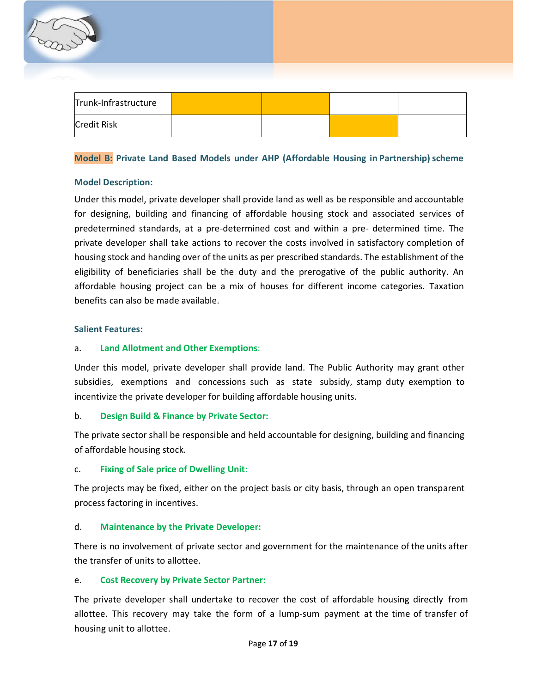| Trunk-Infrastructure |  |  |
|----------------------|--|--|
| <b>Credit Risk</b>   |  |  |

## **Model B: Private Land Based Models under AHP (Affordable Housing in Partnership) scheme**

### **Model Description:**

Under this model, private developer shall provide land as well as be responsible and accountable for designing, building and financing of affordable housing stock and associated services of predetermined standards, at a pre-determined cost and within a pre- determined time. The private developer shall take actions to recover the costs involved in satisfactory completion of housing stock and handing over of the units as per prescribed standards. The establishment of the eligibility of beneficiaries shall be the duty and the prerogative of the public authority. An affordable housing project can be a mix of houses for different income categories. Taxation benefits can also be made available.

#### **Salient Features:**

#### a. **Land Allotment and Other Exemptions**:

Under this model, private developer shall provide land. The Public Authority may grant other subsidies, exemptions and concessions such as state subsidy, stamp duty exemption to incentivize the private developer for building affordable housing units.

### b. **Design Build & Finance by Private Sector:**

The private sector shall be responsible and held accountable for designing, building and financing of affordable housing stock.

### c. **Fixing of Sale price of Dwelling Unit**:

The projects may be fixed, either on the project basis or city basis, through an open transparent process factoring in incentives.

## d. **Maintenance by the Private Developer:**

There is no involvement of private sector and government for the maintenance of the units after the transfer of units to allottee.

### e. **Cost Recovery by Private Sector Partner:**

The private developer shall undertake to recover the cost of affordable housing directly from allottee. This recovery may take the form of a lump-sum payment at the time of transfer of housing unit to allottee.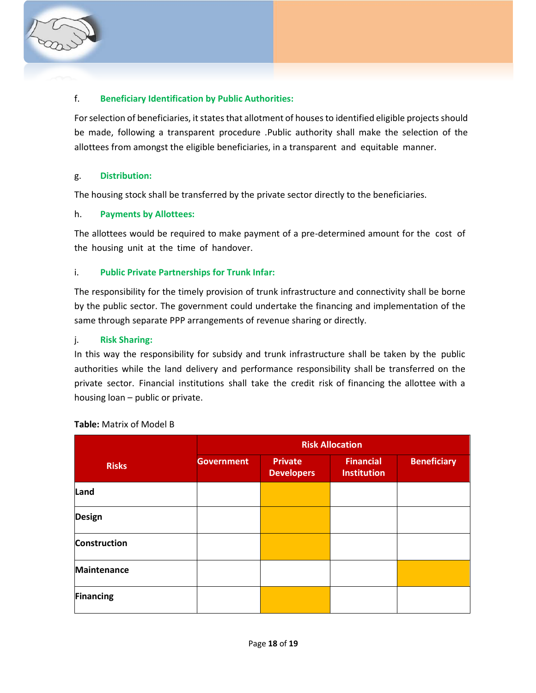

## f. **Beneficiary Identification by Public Authorities:**

For selection of beneficiaries, it states that allotment of houses to identified eligible projects should be made, following a transparent procedure .Public authority shall make the selection of the allottees from amongst the eligible beneficiaries, in a transparent and equitable manner.

### g. **Distribution:**

The housing stock shall be transferred by the private sector directly to the beneficiaries.

### h. **Payments by Allottees:**

The allottees would be required to make payment of a pre-determined amount for the cost of the housing unit at the time of handover.

## i. **Public Private Partnerships for Trunk Infar:**

The responsibility for the timely provision of trunk infrastructure and connectivity shall be borne by the public sector. The government could undertake the financing and implementation of the same through separate PPP arrangements of revenue sharing or directly.

## j. **Risk Sharing:**

In this way the responsibility for subsidy and trunk infrastructure shall be taken by the public authorities while the land delivery and performance responsibility shall be transferred on the private sector. Financial institutions shall take the credit risk of financing the allottee with a housing loan – public or private.

|                     | <b>Risk Allocation</b> |                                     |                                        |                    |  |
|---------------------|------------------------|-------------------------------------|----------------------------------------|--------------------|--|
| <b>Risks</b>        | <b>Government</b>      | <b>Private</b><br><b>Developers</b> | <b>Financial</b><br><b>Institution</b> | <b>Beneficiary</b> |  |
| Land                |                        |                                     |                                        |                    |  |
| <b>Design</b>       |                        |                                     |                                        |                    |  |
| <b>Construction</b> |                        |                                     |                                        |                    |  |
| <b>Maintenance</b>  |                        |                                     |                                        |                    |  |
| <b>Financing</b>    |                        |                                     |                                        |                    |  |

### **Table:** Matrix of Model B